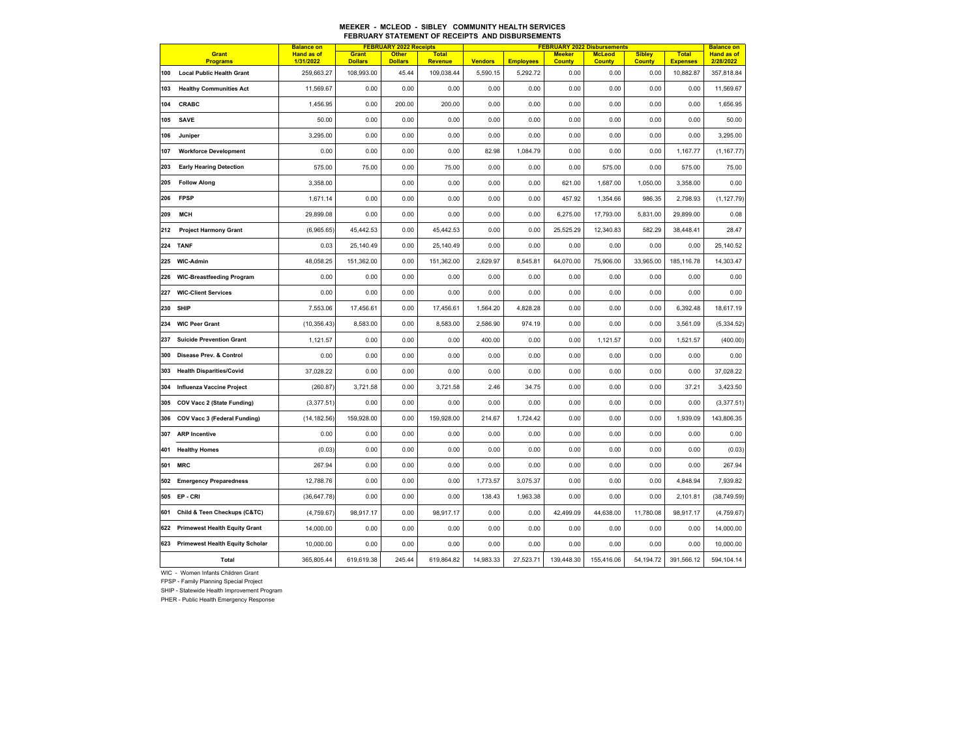## **MEEKER - MCLEOD - SIBLEY COMMUNITY HEALTH SERVICESFEBRUARY STATEMENT OF RECEIPTS AND DISBURSEMENTS**

| <b>Balance on</b> |                                        |                                | <b>FEBRUARY 2022 Receipts</b> |                                |                                |                | <b>FEBRUARY 2022 Disbursements</b> |                                | <b>Balance on</b>              |                                |                                 |                                |
|-------------------|----------------------------------------|--------------------------------|-------------------------------|--------------------------------|--------------------------------|----------------|------------------------------------|--------------------------------|--------------------------------|--------------------------------|---------------------------------|--------------------------------|
|                   | <b>Grant</b><br><b>Programs</b>        | <b>Hand as of</b><br>1/31/2022 | Grant<br><b>Dollars</b>       | <b>Other</b><br><b>Dollars</b> | <b>Total</b><br><b>Revenue</b> | <b>Vendors</b> | <b>Employees</b>                   | <b>Meeker</b><br><b>County</b> | <b>McLeod</b><br><b>County</b> | <b>Sibley</b><br><b>County</b> | <b>Total</b><br><b>Expenses</b> | <b>Hand as of</b><br>2/28/2022 |
| 100               | <b>Local Public Health Grant</b>       | 259,663.27                     | 108,993.00                    | 45.44                          | 109,038.44                     | 5,590.15       | 5,292.72                           | 0.00                           | 0.00                           | 0.00                           | 10,882.87                       | 357,818.84                     |
| 103               | <b>Healthy Communities Act</b>         | 11,569.67                      | 0.00                          | 0.00                           | 0.00                           | 0.00           | 0.00                               | 0.00                           | 0.00                           | 0.00                           | 0.00                            | 11,569.67                      |
| 104               | CRABC                                  | 1,456.95                       | 0.00                          | 200.00                         | 200.00                         | 0.00           | 0.00                               | 0.00                           | 0.00                           | 0.00                           | 0.00                            | 1,656.95                       |
| 105               | <b>SAVE</b>                            | 50.00                          | 0.00                          | 0.00                           | 0.00                           | 0.00           | 0.00                               | 0.00                           | 0.00                           | 0.00                           | 0.00                            | 50.00                          |
| 106               | Juniper                                | 3,295.00                       | 0.00                          | 0.00                           | 0.00                           | 0.00           | 0.00                               | 0.00                           | 0.00                           | 0.00                           | 0.00                            | 3,295.00                       |
| 107               | <b>Workforce Development</b>           | 0.00                           | 0.00                          | 0.00                           | 0.00                           | 82.98          | 1,084.79                           | 0.00                           | 0.00                           | 0.00                           | 1,167.77                        | (1, 167.77)                    |
| 203               | <b>Early Hearing Detection</b>         | 575.00                         | 75.00                         | 0.00                           | 75.00                          | 0.00           | 0.00                               | 0.00                           | 575.00                         | 0.00                           | 575.00                          | 75.00                          |
| 205               | <b>Follow Along</b>                    | 3.358.00                       |                               | 0.00                           | 0.00                           | 0.00           | 0.00                               | 621.00                         | 1,687.00                       | 1.050.00                       | 3,358.00                        | 0.00                           |
| 206               | <b>FPSP</b>                            | 1,671.14                       | 0.00                          | 0.00                           | 0.00                           | 0.00           | 0.00                               | 457.92                         | 1,354.66                       | 986.35                         | 2,798.93                        | (1, 127.79)                    |
| 209               | <b>MCH</b>                             | 29,899.08                      | 0.00                          | 0.00                           | 0.00                           | 0.00           | 0.00                               | 6,275.00                       | 17,793.00                      | 5,831.00                       | 29,899.00                       | 0.08                           |
| 212               | <b>Project Harmony Grant</b>           | (6,965.65)                     | 45,442.53                     | 0.00                           | 45,442.53                      | 0.00           | 0.00                               | 25,525.29                      | 12,340.83                      | 582.29                         | 38,448.41                       | 28.47                          |
| 224               | <b>TANF</b>                            | 0.03                           | 25,140.49                     | 0.00                           | 25,140.49                      | 0.00           | 0.00                               | 0.00                           | 0.00                           | 0.00                           | 0.00                            | 25,140.52                      |
| 225               | <b>WIC-Admin</b>                       | 48,058.25                      | 151,362.00                    | 0.00                           | 151,362.00                     | 2,629.97       | 8,545.81                           | 64,070.00                      | 75,906.00                      | 33,965.00                      | 185,116.78                      | 14,303.47                      |
| 226               | <b>WIC-Breastfeeding Program</b>       | 0.00                           | 0.00                          | 0.00                           | 0.00                           | 0.00           | 0.00                               | 0.00                           | 0.00                           | 0.00                           | 0.00                            | 0.00                           |
| 227               | <b>WIC-Client Services</b>             | 0.00                           | 0.00                          | 0.00                           | 0.00                           | 0.00           | 0.00                               | 0.00                           | 0.00                           | 0.00                           | 0.00                            | 0.00                           |
| 230               | <b>SHIP</b>                            | 7,553.06                       | 17,456.61                     | 0.00                           | 17,456.61                      | 1,564.20       | 4,828.28                           | 0.00                           | 0.00                           | 0.00                           | 6,392.48                        | 18,617.19                      |
| 234               | <b>WIC Peer Grant</b>                  | (10, 356.43)                   | 8,583.00                      | 0.00                           | 8,583.00                       | 2,586.90       | 974.19                             | 0.00                           | 0.00                           | 0.00                           | 3,561.09                        | (5, 334.52)                    |
| 237               | <b>Suicide Prevention Grant</b>        | 1,121.57                       | 0.00                          | 0.00                           | 0.00                           | 400.00         | 0.00                               | 0.00                           | 1,121.57                       | 0.00                           | 1,521.57                        | (400.00)                       |
| 300               | Disease Prev. & Control                | 0.00                           | 0.00                          | 0.00                           | 0.00                           | 0.00           | 0.00                               | 0.00                           | 0.00                           | 0.00                           | 0.00                            | 0.00                           |
| 303               | <b>Health Disparities/Covid</b>        | 37,028.22                      | 0.00                          | 0.00                           | 0.00                           | 0.00           | 0.00                               | 0.00                           | 0.00                           | 0.00                           | 0.00                            | 37,028.22                      |
| 304               | <b>Influenza Vaccine Project</b>       | (260.87)                       | 3,721.58                      | 0.00                           | 3,721.58                       | 2.46           | 34.75                              | 0.00                           | 0.00                           | 0.00                           | 37.21                           | 3,423.50                       |
| 305               | COV Vacc 2 (State Funding)             | (3,377.51)                     | 0.00                          | 0.00                           | 0.00                           | 0.00           | 0.00                               | 0.00                           | 0.00                           | 0.00                           | 0.00                            | (3,377.51)                     |
| 306               | COV Vacc 3 (Federal Funding)           | (14, 182.56)                   | 159,928.00                    | 0.00                           | 159,928.00                     | 214.67         | 1,724.42                           | 0.00                           | 0.00                           | 0.00                           | 1,939.09                        | 143,806.35                     |
| 307               | <b>ARP</b> Incentive                   | 0.00                           | 0.00                          | 0.00                           | 0.00                           | 0.00           | 0.00                               | 0.00                           | 0.00                           | 0.00                           | 0.00                            | 0.00                           |
| 401               | <b>Healthy Homes</b>                   | (0.03)                         | 0.00                          | 0.00                           | 0.00                           | 0.00           | 0.00                               | 0.00                           | 0.00                           | 0.00                           | 0.00                            | (0.03)                         |
| 501               | <b>MRC</b>                             | 267.94                         | 0.00                          | 0.00                           | 0.00                           | 0.00           | 0.00                               | 0.00                           | 0.00                           | 0.00                           | 0.00                            | 267.94                         |
| 502               | <b>Emergency Preparedness</b>          | 12,788.76                      | 0.00                          | 0.00                           | 0.00                           | 1,773.57       | 3,075.37                           | 0.00                           | 0.00                           | 0.00                           | 4,848.94                        | 7,939.82                       |
| 505               | EP-CRI                                 | (36, 647.78)                   | 0.00                          | 0.00                           | 0.00                           | 138.43         | 1,963.38                           | 0.00                           | 0.00                           | 0.00                           | 2,101.81                        | (38, 749.59)                   |
| 601               | Child & Teen Checkups (C&TC)           | (4,759.67)                     | 98,917.17                     | 0.00                           | 98,917.17                      | 0.00           | 0.00                               | 42,499.09                      | 44,638.00                      | 11,780.08                      | 98,917.17                       | (4,759.67)                     |
| 622               | <b>Primewest Health Equity Grant</b>   | 14,000.00                      | 0.00                          | 0.00                           | 0.00                           | 0.00           | 0.00                               | 0.00                           | 0.00                           | 0.00                           | 0.00                            | 14,000.00                      |
| 623               | <b>Primewest Health Equity Scholar</b> | 10,000.00                      | 0.00                          | 0.00                           | 0.00                           | 0.00           | 0.00                               | 0.00                           | 0.00                           | 0.00                           | 0.00                            | 10,000.00                      |
|                   | Total                                  | 365,805.44                     | 619,619.38                    | 245.44                         | 619,864.82                     | 14,983.33      | 27,523.71                          | 139,448.30                     | 155,416.06                     | 54,194.72                      | 391,566.12                      | 594,104.14                     |

WIC - Women Infants Children Grant

FPSP - Family Planning Special Project

SHIP - Statewide Health Improvement Program

PHER - Public Health Emergency Response